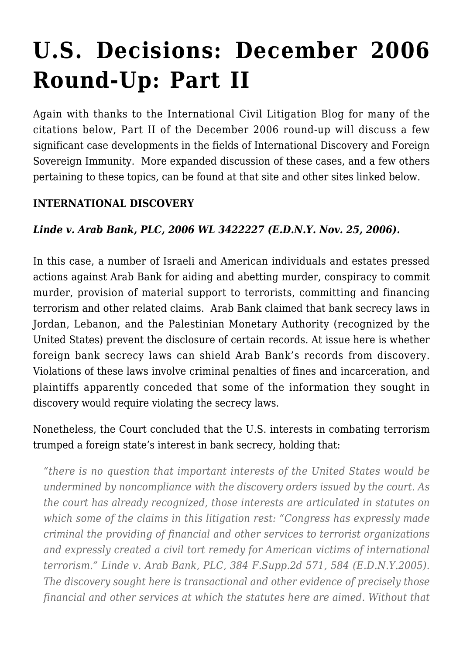# **[U.S. Decisions: December 2006](https://conflictoflaws.net/2006/us-decisions-december-2006-round-up-part-ii/) [Round-Up: Part II](https://conflictoflaws.net/2006/us-decisions-december-2006-round-up-part-ii/)**

Again with thanks to the [International Civil Litigation Blog](http://internationalcivillitigation.blogspot.com/) for many of the citations below, Part II of the December 2006 round-up will discuss a few significant case developments in the fields of International Discovery and Foreign Sovereign Immunity. More expanded discussion of these cases, and a few others pertaining to these topics, can be found at that site and other sites linked below.

#### **INTERNATIONAL DISCOVERY**

#### *Linde v. Arab Bank, PLC, 2006 WL 3422227 (E.D.N.Y. Nov. 25, 2006).*

In this case, a number of Israeli and American individuals and estates pressed actions against Arab Bank for aiding and abetting murder, conspiracy to commit murder, provision of material support to terrorists, committing and financing terrorism and other related claims. Arab Bank claimed that bank secrecy laws in Jordan, Lebanon, and the Palestinian Monetary Authority (recognized by the United States) prevent the disclosure of certain records. At issue here is whether foreign bank secrecy laws can shield Arab Bank's records from discovery. Violations of these laws involve criminal penalties of fines and incarceration, and plaintiffs apparently conceded that some of the information they sought in discovery would require violating the secrecy laws.

Nonetheless, the Court concluded that the U.S. interests in combating terrorism trumped a foreign state's interest in bank secrecy, holding that:

*"there is no question that important interests of the United States would be undermined by noncompliance with the discovery orders issued by the court. As the court has already recognized, those interests are articulated in statutes on which some of the claims in this litigation rest: "Congress has expressly made criminal the providing of financial and other services to terrorist organizations and expressly created a civil tort remedy for American victims of international terrorism." Linde v. Arab Bank, PLC, 384 F.Supp.2d 571, 584 (E.D.N.Y.2005). The discovery sought here is transactional and other evidence of precisely those financial and other services at which the statutes here are aimed. Without that*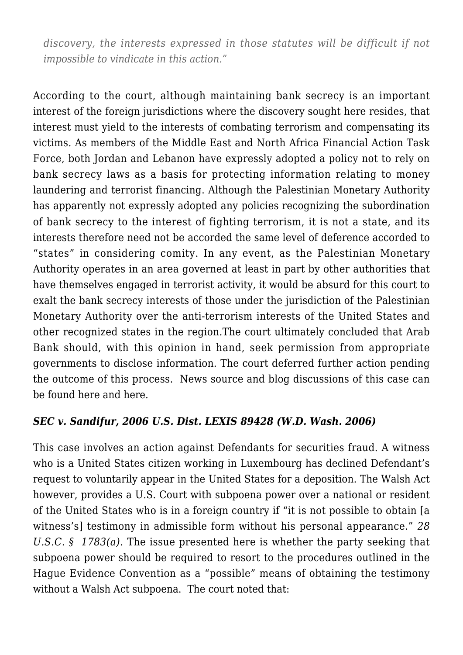*discovery, the interests expressed in those statutes will be difficult if not impossible to vindicate in this action."*

According to the court, although maintaining bank secrecy is an important interest of the foreign jurisdictions where the discovery sought here resides, that interest must yield to the interests of combating terrorism and compensating its victims. As members of the Middle East and North Africa Financial Action Task Force, both Jordan and Lebanon have expressly adopted a policy not to rely on bank secrecy laws as a basis for protecting information relating to money laundering and terrorist financing. Although the Palestinian Monetary Authority has apparently not expressly adopted any policies recognizing the subordination of bank secrecy to the interest of fighting terrorism, it is not a state, and its interests therefore need not be accorded the same level of deference accorded to "states" in considering comity. In any event, as the Palestinian Monetary Authority operates in an area governed at least in part by other authorities that have themselves engaged in terrorist activity, it would be absurd for this court to exalt the bank secrecy interests of those under the jurisdiction of the Palestinian Monetary Authority over the anti-terrorism interests of the United States and other recognized states in the region.The court ultimately concluded that Arab Bank should, with this opinion in hand, seek permission from appropriate governments to disclose information. The court deferred further action pending the outcome of this process. News source and blog discussions of this case can be found [here](http://www.cbsnews.com/stories/2004/07/06/terror/main627703.shtml?CMP=ILC-SearchStories) and [here](http://www.banklawyersblog.com/3_bank_lawyers/war/index.html).

#### *SEC v. Sandifur, 2006 U.S. Dist. LEXIS 89428 (W.D. Wash. 2006)*

This case involves an action against Defendants for securities fraud. A witness who is a United States citizen working in Luxembourg has declined Defendant's request to voluntarily appear in the United States for a deposition. The Walsh Act however, provides a U.S. Court with subpoena power over a national or resident of the United States who is in a foreign country if "it is not possible to obtain [a witness's] testimony in admissible form without his personal appearance." *28 U.S.C. § 1783(a)*. The issue presented here is whether the party seeking that subpoena power should be required to resort to the procedures outlined in the Hague Evidence Convention as a "possible" means of obtaining the testimony without a Walsh Act subpoena. The court noted that: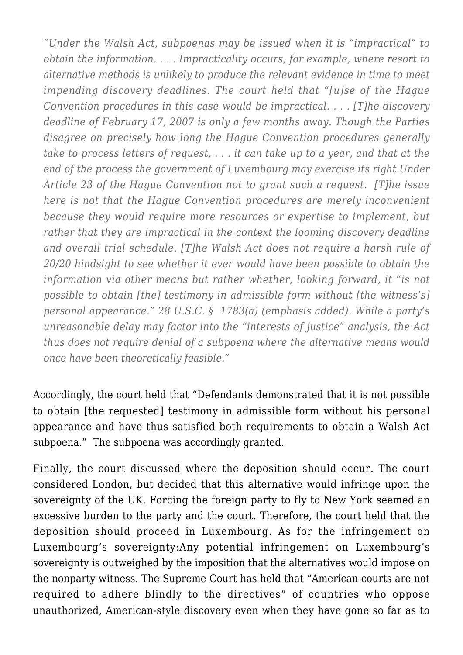*"Under the Walsh Act, subpoenas may be issued when it is "impractical" to obtain the information. . . . Impracticality occurs, for example, where resort to alternative methods is unlikely to produce the relevant evidence in time to meet impending discovery deadlines. The court held that "[u]se of the Hague Convention procedures in this case would be impractical. . . . [T]he discovery deadline of February 17, 2007 is only a few months away. Though the Parties disagree on precisely how long the Hague Convention procedures generally take to process letters of request, . . . it can take up to a year, and that at the end of the process the government of Luxembourg may exercise its right Under Article 23 of the Hague Convention not to grant such a request. [T]he issue here is not that the Hague Convention procedures are merely inconvenient because they would require more resources or expertise to implement, but rather that they are impractical in the context the looming discovery deadline and overall trial schedule. [T]he Walsh Act does not require a harsh rule of 20/20 hindsight to see whether it ever would have been possible to obtain the information via other means but rather whether, looking forward, it "is not possible to obtain [the] testimony in admissible form without [the witness's] personal appearance." 28 U.S.C. § 1783(a) (emphasis added). While a party's unreasonable delay may factor into the "interests of justice" analysis, the Act thus does not require denial of a subpoena where the alternative means would once have been theoretically feasible."*

Accordingly, the court held that "Defendants demonstrated that it is not possible to obtain [the requested] testimony in admissible form without his personal appearance and have thus satisfied both requirements to obtain a Walsh Act subpoena." The subpoena was accordingly granted.

Finally, the court discussed where the deposition should occur. The court considered London, but decided that this alternative would infringe upon the sovereignty of the UK. Forcing the foreign party to fly to New York seemed an excessive burden to the party and the court. Therefore, the court held that the deposition should proceed in Luxembourg. As for the infringement on Luxembourg's sovereignty:Any potential infringement on Luxembourg's sovereignty is outweighed by the imposition that the alternatives would impose on the nonparty witness. The Supreme Court has held that "American courts are not required to adhere blindly to the directives" of countries who oppose unauthorized, American-style discovery even when they have gone so far as to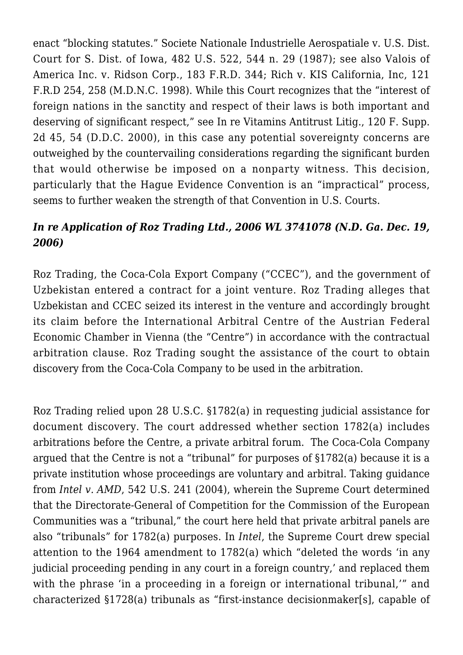enact "blocking statutes." Societe Nationale Industrielle Aerospatiale v. U.S. Dist. Court for S. Dist. of Iowa, 482 U.S. 522, 544 n. 29 (1987); see also Valois of America Inc. v. Ridson Corp., 183 F.R.D. 344; Rich v. KIS California, Inc, 121 F.R.D 254, 258 (M.D.N.C. 1998). While this Court recognizes that the "interest of foreign nations in the sanctity and respect of their laws is both important and deserving of significant respect," see In re Vitamins Antitrust Litig., 120 F. Supp. 2d 45, 54 (D.D.C. 2000), in this case any potential sovereignty concerns are outweighed by the countervailing considerations regarding the significant burden that would otherwise be imposed on a nonparty witness. This decision, particularly that the Hague Evidence Convention is an "impractical" process, seems to further weaken the strength of that Convention in U.S. Courts.

## *In re Application of Roz Trading Ltd., 2006 WL 3741078 (N.D. Ga. Dec. 19, 2006)*

Roz Trading, the Coca-Cola Export Company ("CCEC"), and the government of Uzbekistan entered a contract for a joint venture. Roz Trading alleges that Uzbekistan and CCEC seized its interest in the venture and accordingly brought its claim before the International Arbitral Centre of the Austrian Federal Economic Chamber in Vienna (the "Centre") in accordance with the contractual arbitration clause. Roz Trading sought the assistance of the court to obtain discovery from the Coca-Cola Company to be used in the arbitration.

Roz Trading relied upon 28 U.S.C. §1782(a) in requesting judicial assistance for document discovery. The court addressed whether section 1782(a) includes arbitrations before the Centre, a private arbitral forum. The Coca-Cola Company argued that the Centre is not a "tribunal" for purposes of §1782(a) because it is a private institution whose proceedings are voluntary and arbitral. Taking guidance from *Intel v. AMD*, 542 U.S. 241 (2004), wherein the Supreme Court determined that the Directorate-General of Competition for the Commission of the European Communities was a "tribunal," the court here held that private arbitral panels are also "tribunals" for 1782(a) purposes. In *Intel*, the Supreme Court drew special attention to the 1964 amendment to 1782(a) which "deleted the words 'in any judicial proceeding pending in any court in a foreign country,' and replaced them with the phrase 'in a proceeding in a foreign or international tribunal,'" and characterized §1728(a) tribunals as "first-instance decisionmaker[s], capable of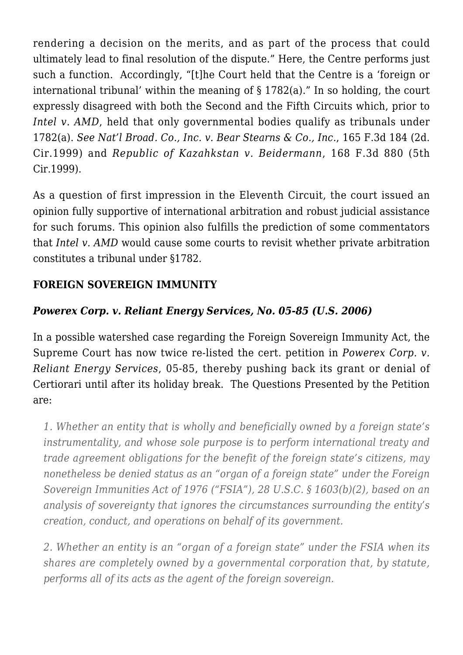rendering a decision on the merits, and as part of the process that could ultimately lead to final resolution of the dispute." Here, the Centre performs just such a function. Accordingly, "[t]he Court held that the Centre is a 'foreign or international tribunal' within the meaning of § 1782(a)." In so holding, the court expressly disagreed with both the Second and the Fifth Circuits which, prior to *Intel v. AMD*, held that only governmental bodies qualify as tribunals under 1782(a). *See Nat'l Broad. Co., Inc. v. Bear Stearns & Co., Inc.*, 165 F.3d 184 (2d. Cir.1999) and *Republic of Kazahkstan v. Beidermann*, 168 F.3d 880 (5th Cir.1999).

As a question of first impression in the Eleventh Circuit, the court issued an opinion fully supportive of international arbitration and robust judicial assistance for such forums. This opinion also fulfills the prediction of some commentators that *Intel v. AMD* would cause some courts to revisit whether private arbitration constitutes a tribunal under §1782.

# **FOREIGN SOVEREIGN IMMUNITY**

#### *Powerex Corp. v. Reliant Energy Services, No. 05-85 (U.S. 2006)*

In a possible watershed case regarding the Foreign Sovereign Immunity Act, the Supreme Court has now twice re-listed the cert. petition in *Powerex Corp. v. Reliant Energy Services*, 05-85, thereby pushing back its grant or denial of Certiorari until after its holiday break. The Questions Presented by the Petition are:

*1. Whether an entity that is wholly and beneficially owned by a foreign state's instrumentality, and whose sole purpose is to perform international treaty and trade agreement obligations for the benefit of the foreign state's citizens, may nonetheless be denied status as an "organ of a foreign state" under the Foreign Sovereign Immunities Act of 1976 ("FSIA"), 28 U.S.C. § 1603(b)(2), based on an analysis of sovereignty that ignores the circumstances surrounding the entity's creation, conduct, and operations on behalf of its government.*

*2. Whether an entity is an "organ of a foreign state" under the FSIA when its shares are completely owned by a governmental corporation that, by statute, performs all of its acts as the agent of the foreign sovereign.*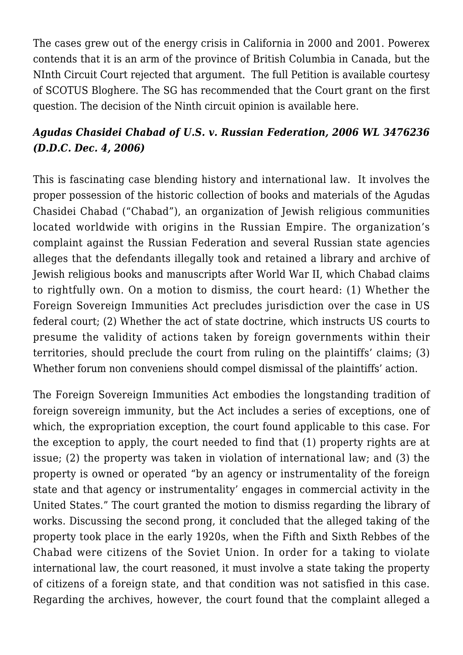The cases grew out of the energy crisis in California in 2000 and 2001. Powerex contends that it is an arm of the province of British Columbia in Canada, but the NInth Circuit Court rejected that argument. The full Petition is available courtesy of [SCOTUS Blog](http://www.scotusblog.com/)[here](http://www.usdoj.gov/osg/briefs/2006/2pet/6invit/2005-0085.pet.ami.inv.html). The [SG has recommended](http://www.usdoj.gov/osg/briefs/2006/2pet/6invit/2005-0085.pet.ami.inv.html) that the Court grant on the first question. The decision of the Ninth circuit opinion is available [here.](http://www.ca9.uscourts.gov/ca9/newopinions.nsf/5CD1579334F0DD5288256F63007B385B/$file/0257200.pdf?openelement)

## *Agudas Chasidei Chabad of U.S. v. Russian Federation, 2006 WL 3476236 (D.D.C. Dec. 4, 2006)*

This is fascinating case blending history and international law. It involves the proper possession of the historic collection of books and materials of the Agudas Chasidei Chabad ("Chabad"), an organization of Jewish religious communities located worldwide with origins in the Russian Empire. The organization's complaint against the Russian Federation and several Russian state agencies alleges that the defendants illegally took and retained a library and archive of Jewish religious books and manuscripts after World War II, which Chabad claims to rightfully own. On a motion to dismiss, the court heard: (1) Whether the Foreign Sovereign Immunities Act precludes jurisdiction over the case in US federal court; (2) Whether the act of state doctrine, which instructs US courts to presume the validity of actions taken by foreign governments within their territories, should preclude the court from ruling on the plaintiffs' claims; (3) Whether forum non conveniens should compel dismissal of the plaintiffs' action.

The Foreign Sovereign Immunities Act embodies the longstanding tradition of foreign sovereign immunity, but the Act includes a series of exceptions, one of which, the expropriation exception, the court found applicable to this case. For the exception to apply, the court needed to find that (1) property rights are at issue; (2) the property was taken in violation of international law; and (3) the property is owned or operated "by an agency or instrumentality of the foreign state and that agency or instrumentality' engages in commercial activity in the United States." The court granted the motion to dismiss regarding the library of works. Discussing the second prong, it concluded that the alleged taking of the property took place in the early 1920s, when the Fifth and Sixth Rebbes of the Chabad were citizens of the Soviet Union. In order for a taking to violate international law, the court reasoned, it must involve a state taking the property of citizens of a foreign state, and that condition was not satisfied in this case. Regarding the archives, however, the court found that the complaint alleged a